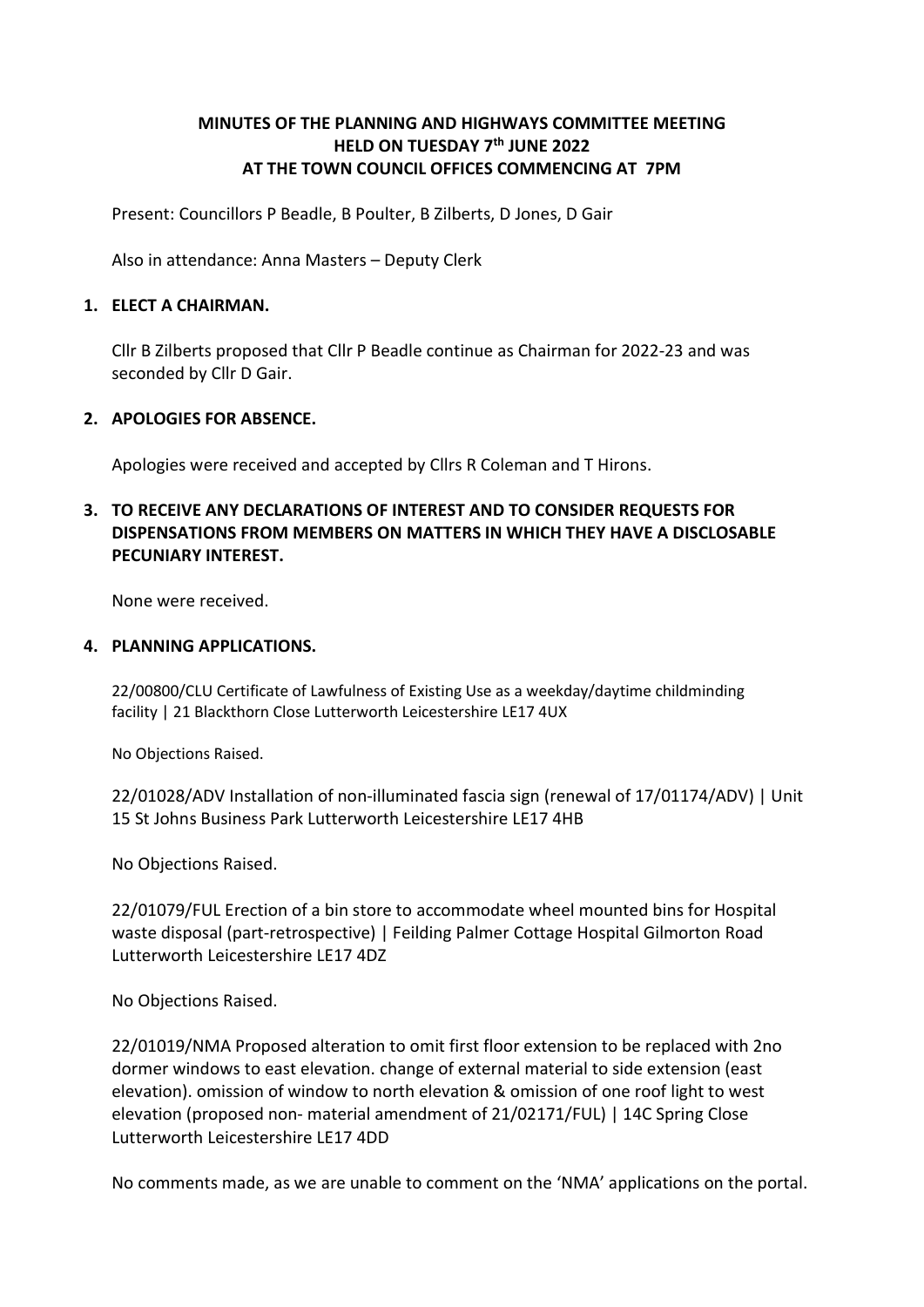# MINUTES OF THE PLANNING AND HIGHWAYS COMMITTEE MEETING HELD ON TUESDAY 7<sup>th</sup> JUNE 2022 AT THE TOWN COUNCIL OFFICES COMMENCING AT 7PM

Present: Councillors P Beadle, B Poulter, B Zilberts, D Jones, D Gair

Also in attendance: Anna Masters – Deputy Clerk

#### 1. ELECT A CHAIRMAN.

Cllr B Zilberts proposed that Cllr P Beadle continue as Chairman for 2022-23 and was seconded by Cllr D Gair.

#### 2. APOLOGIES FOR ABSENCE.

Apologies were received and accepted by Cllrs R Coleman and T Hirons.

# 3. TO RECEIVE ANY DECLARATIONS OF INTEREST AND TO CONSIDER REQUESTS FOR DISPENSATIONS FROM MEMBERS ON MATTERS IN WHICH THEY HAVE A DISCLOSABLE PECUNIARY INTEREST.

None were received.

#### 4. PLANNING APPLICATIONS.

22/00800/CLU Certificate of Lawfulness of Existing Use as a weekday/daytime childminding facility | 21 Blackthorn Close Lutterworth Leicestershire LE17 4UX

No Objections Raised.

22/01028/ADV Installation of non-illuminated fascia sign (renewal of 17/01174/ADV) | Unit 15 St Johns Business Park Lutterworth Leicestershire LE17 4HB

No Objections Raised.

22/01079/FUL Erection of a bin store to accommodate wheel mounted bins for Hospital waste disposal (part-retrospective) | Feilding Palmer Cottage Hospital Gilmorton Road Lutterworth Leicestershire LE17 4DZ

No Objections Raised.

22/01019/NMA Proposed alteration to omit first floor extension to be replaced with 2no dormer windows to east elevation. change of external material to side extension (east elevation). omission of window to north elevation & omission of one roof light to west elevation (proposed non- material amendment of 21/02171/FUL) | 14C Spring Close Lutterworth Leicestershire LE17 4DD

No comments made, as we are unable to comment on the 'NMA' applications on the portal.